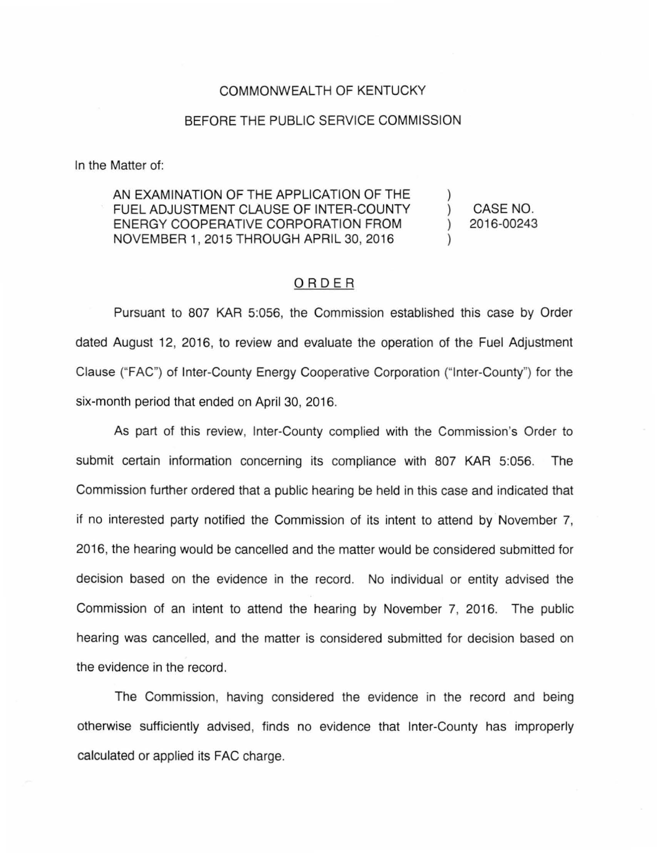## COMMONWEALTH OF KENTUCKY

## BEFORE THE PUBLIC SERVICE COMMISSION

In the Matter of:

AN EXAMINATION OF THE APPLICATION OF THE FUEL ADJUSTMENT CLAUSE OF INTER-COUNTY ENERGY COOPERATIVE CORPORATION FROM NOVEMBER 1, 2015 THROUGH APRIL 30, 2016

CASE NO. 2016-00243

 $\mathcal{L}$  $\mathcal{L}$ 

## ORDER

Pursuant to 807 KAR 5:056, the Commission established this case by Order dated August 12, 2016, to review and evaluate the operation of the Fuel Adjustment Clause ("FAC") of Inter-County Energy Cooperative Corporation ("Inter-County") for the six-month period that ended on April 30, 2016.

As part of this review, Inter-County complied with the Commission's Order to submit certain information concerning its compliance with 807 KAR 5:056. The Commission further ordered that a public hearing be held in this case and indicated that if no interested party notified the Commission of its intent to attend by November 7, 2016, the hearing would be cancelled and the matter would be considered submitted for decision based on the evidence in the record. No individual or entity advised the Commission of an intent to attend the hearing by November 7, 2016. The public hearing was cancelled, and the matter is considered submitted for decision based on the evidence in the record.

The Commission, having considered the evidence in the record and being otherwise sufficiently advised, finds no evidence that Inter-County has improperly calculated or applied its FAC charge.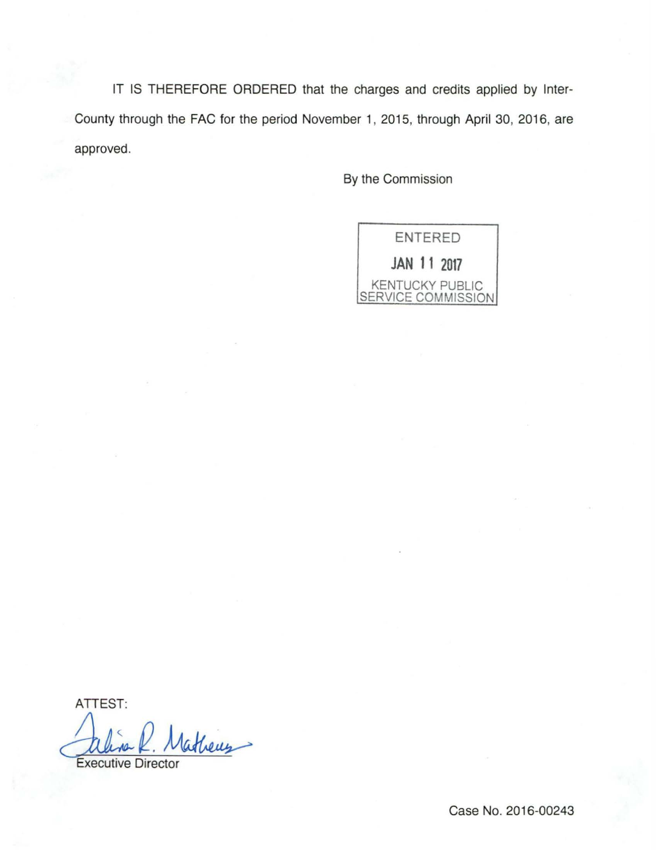IT IS THEREFORE ORDERED that the charges and credits applied by Inter-County through the FAC for the period November 1, 2015, through April 30, 2016, are approved.

By the Commission

ENTERED **JAN 11 2017**  KENTUCKY PUBLIC SERVICE COMMISSION

ATTEST:

aline R. Matheus

Case No. 2016-00243